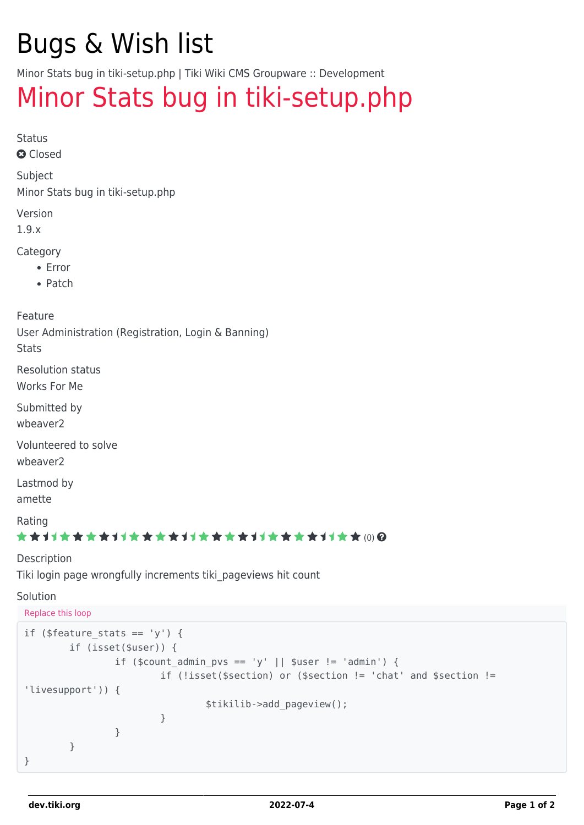# Bugs & Wish list

Minor Stats bug in tiki-setup.php | Tiki Wiki CMS Groupware :: Development

## [Minor Stats bug in tiki-setup.php](https://dev.tiki.org/item345-Minor-Stats-bug-in-tiki-setup-php)

Status

**a** Closed

Subject

Minor Stats bug in tiki-setup.php

Version

1.9.x

Category

- Error
- Patch

Feature

User Administration (Registration, Login & Banning)

**Stats** 

Resolution status Works For Me

Submitted by

wbeaver2

Volunteered to solve

wbeaver2

Lastmod by

amette

Rating

#### ★★オオ★★★★オオ★★★★オオ★★★★オオ★★★★1オ★★ (0) @

#### Description

Tiki login page wrongfully increments tiki\_pageviews hit count

#### Solution

Replace this loop

```
if ($feature stats == 'y') {
       if (isset($user)) {
             if ($count admin pvs == 'y' || $user != 'admin') {
                      if (!isset($section) or ($section != 'chat' and $section !=
'livesupport')) {
                             $tikilib->add_pageview();
 }
 }
        }
}
```